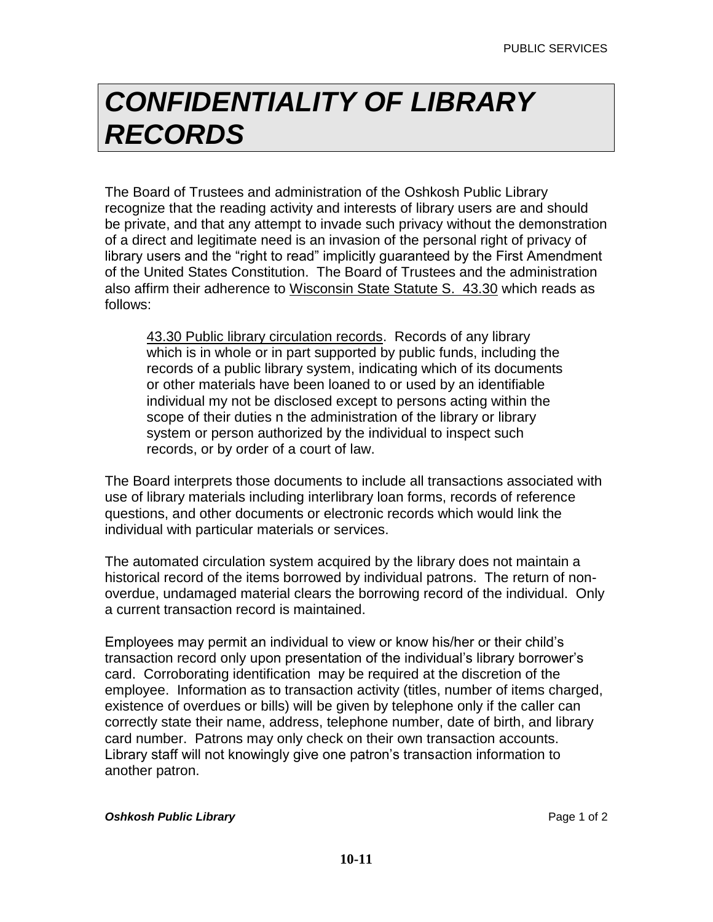## *CONFIDENTIALITY OF LIBRARY RECORDS*

The Board of Trustees and administration of the Oshkosh Public Library recognize that the reading activity and interests of library users are and should be private, and that any attempt to invade such privacy without the demonstration of a direct and legitimate need is an invasion of the personal right of privacy of library users and the "right to read" implicitly guaranteed by the First Amendment of the United States Constitution. The Board of Trustees and the administration also affirm their adherence to Wisconsin State Statute S. 43.30 which reads as follows:

43.30 Public library circulation records. Records of any library which is in whole or in part supported by public funds, including the records of a public library system, indicating which of its documents or other materials have been loaned to or used by an identifiable individual my not be disclosed except to persons acting within the scope of their duties n the administration of the library or library system or person authorized by the individual to inspect such records, or by order of a court of law.

The Board interprets those documents to include all transactions associated with use of library materials including interlibrary loan forms, records of reference questions, and other documents or electronic records which would link the individual with particular materials or services.

The automated circulation system acquired by the library does not maintain a historical record of the items borrowed by individual patrons. The return of nonoverdue, undamaged material clears the borrowing record of the individual. Only a current transaction record is maintained.

Employees may permit an individual to view or know his/her or their child's transaction record only upon presentation of the individual's library borrower's card. Corroborating identification may be required at the discretion of the employee. Information as to transaction activity (titles, number of items charged, existence of overdues or bills) will be given by telephone only if the caller can correctly state their name, address, telephone number, date of birth, and library card number. Patrons may only check on their own transaction accounts. Library staff will not knowingly give one patron's transaction information to another patron.